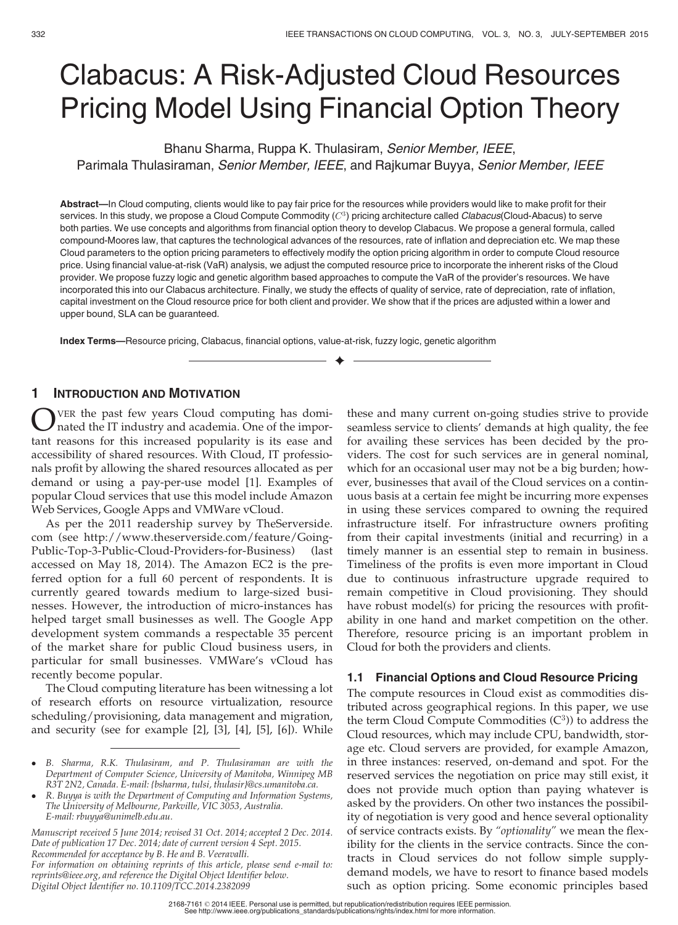# Clabacus: A Risk-Adjusted Cloud Resources Pricing Model Using Financial Option Theory

Bhanu Sharma, Ruppa K. Thulasiram, Senior Member, IEEE, Parimala Thulasiraman, Senior Member, IEEE, and Rajkumar Buyya, Senior Member, IEEE

Abstract—In Cloud computing, clients would like to pay fair price for the resources while providers would like to make profit for their services. In this study, we propose a Cloud Compute Commodity  $(C<sup>3</sup>)$  pricing architecture called Clabacus(Cloud-Abacus) to serve both parties. We use concepts and algorithms from financial option theory to develop Clabacus. We propose a general formula, called compound-Moores law, that captures the technological advances of the resources, rate of inflation and depreciation etc. We map these Cloud parameters to the option pricing parameters to effectively modify the option pricing algorithm in order to compute Cloud resource price. Using financial value-at-risk (VaR) analysis, we adjust the computed resource price to incorporate the inherent risks of the Cloud provider. We propose fuzzy logic and genetic algorithm based approaches to compute the VaR of the provider's resources. We have incorporated this into our Clabacus architecture. Finally, we study the effects of quality of service, rate of depreciation, rate of inflation, capital investment on the Cloud resource price for both client and provider. We show that if the prices are adjusted within a lower and upper bound, SLA can be guaranteed.

 $\bigstar$ 

Index Terms—Resource pricing, Clabacus, financial options, value-at-risk, fuzzy logic, genetic algorithm

# 1 INTRODUCTION AND MOTIVATION

VER the past few years Cloud computing has dominated the IT industry and academia. One of the important reasons for this increased popularity is its ease and accessibility of shared resources. With Cloud, IT professionals profit by allowing the shared resources allocated as per demand or using a pay-per-use model [1]. Examples of popular Cloud services that use this model include Amazon Web Services, Google Apps and VMWare vCloud.

As per the 2011 readership survey by TheServerside. com (see http://www.theserverside.com/feature/Going-Public-Top-3-Public-Cloud-Providers-for-Business) (last accessed on May 18, 2014). The Amazon EC2 is the preferred option for a full 60 percent of respondents. It is currently geared towards medium to large-sized businesses. However, the introduction of micro-instances has helped target small businesses as well. The Google App development system commands a respectable 35 percent of the market share for public Cloud business users, in particular for small businesses. VMWare's vCloud has recently become popular.

The Cloud computing literature has been witnessing a lot of research efforts on resource virtualization, resource scheduling/provisioning, data management and migration, and security (see for example [2], [3], [4], [5], [6]). While

- B. Sharma, R.K. Thulasiram, and P. Thulasiraman are with the Department of Computer Science, University of Manitoba, Winnipeg MB R3T 2N2, Canada. E-mail: {bsharma, tulsi, thulasir}@cs.umanitoba.ca.
- R. Buyya is with the Department of Computing and Information Systems, The University of Melbourne, Parkville, VIC 3053, Australia. E-mail: rbuyya@unimelb.edu.au.

Manuscript received 5 June 2014; revised 31 Oct. 2014; accepted 2 Dec. 2014. Date of publication 17 Dec. 2014; date of current version 4 Sept. 2015. Recommended for acceptance by B. He and B. Veeravalli. For information on obtaining reprints of this article, please send e-mail to:

reprints@ieee.org, and reference the Digital Object Identifier below. Digital Object Identifier no. 10.1109/TCC.2014.2382099

these and many current on-going studies strive to provide seamless service to clients' demands at high quality, the fee for availing these services has been decided by the providers. The cost for such services are in general nominal, which for an occasional user may not be a big burden; however, businesses that avail of the Cloud services on a continuous basis at a certain fee might be incurring more expenses in using these services compared to owning the required infrastructure itself. For infrastructure owners profiting from their capital investments (initial and recurring) in a timely manner is an essential step to remain in business. Timeliness of the profits is even more important in Cloud due to continuous infrastructure upgrade required to remain competitive in Cloud provisioning. They should have robust model(s) for pricing the resources with profitability in one hand and market competition on the other. Therefore, resource pricing is an important problem in Cloud for both the providers and clients.

# 1.1 Financial Options and Cloud Resource Pricing

The compute resources in Cloud exist as commodities distributed across geographical regions. In this paper, we use the term Cloud Compute Commodities  $(C<sup>3</sup>)$ ) to address the Cloud resources, which may include CPU, bandwidth, storage etc. Cloud servers are provided, for example Amazon, in three instances: reserved, on-demand and spot. For the reserved services the negotiation on price may still exist, it does not provide much option than paying whatever is asked by the providers. On other two instances the possibility of negotiation is very good and hence several optionality of service contracts exists. By "optionality" we mean the flexibility for the clients in the service contracts. Since the contracts in Cloud services do not follow simple supplydemand models, we have to resort to finance based models such as option pricing. Some economic principles based

<sup>2168-7161</sup> 2014 IEEE. Personal use is permitted, but republication/redistribution requires IEEE permission. See http://www.ieee.org/publications\_standards/publications/rights/index.html for more information.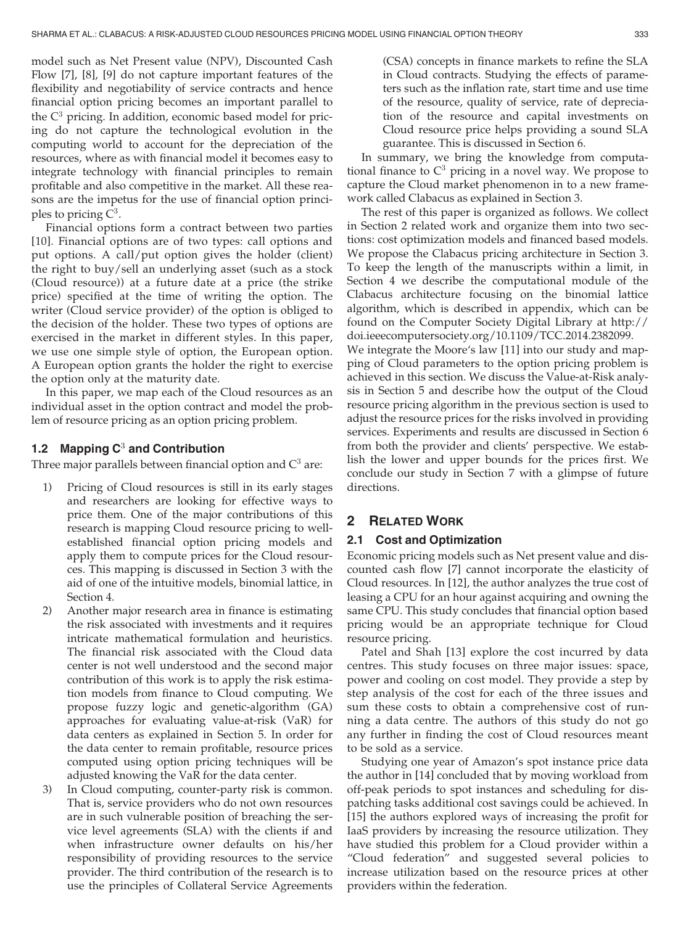model such as Net Present value (NPV), Discounted Cash Flow [7], [8], [9] do not capture important features of the flexibility and negotiability of service contracts and hence financial option pricing becomes an important parallel to the  $C<sup>3</sup>$  pricing. In addition, economic based model for pricing do not capture the technological evolution in the computing world to account for the depreciation of the resources, where as with financial model it becomes easy to integrate technology with financial principles to remain profitable and also competitive in the market. All these reasons are the impetus for the use of financial option principles to pricing  $C^3$ .

Financial options form a contract between two parties [10]. Financial options are of two types: call options and put options. A call/put option gives the holder (client) the right to buy/sell an underlying asset (such as a stock (Cloud resource)) at a future date at a price (the strike price) specified at the time of writing the option. The writer (Cloud service provider) of the option is obliged to the decision of the holder. These two types of options are exercised in the market in different styles. In this paper, we use one simple style of option, the European option. A European option grants the holder the right to exercise the option only at the maturity date.

In this paper, we map each of the Cloud resources as an individual asset in the option contract and model the problem of resource pricing as an option pricing problem.

# 1.2 Mapping  $C^3$  and Contribution

Three major parallels between financial option and  $C<sup>3</sup>$  are:

- 1) Pricing of Cloud resources is still in its early stages and researchers are looking for effective ways to price them. One of the major contributions of this research is mapping Cloud resource pricing to wellestablished financial option pricing models and apply them to compute prices for the Cloud resources. This mapping is discussed in Section 3 with the aid of one of the intuitive models, binomial lattice, in Section 4.
- 2) Another major research area in finance is estimating the risk associated with investments and it requires intricate mathematical formulation and heuristics. The financial risk associated with the Cloud data center is not well understood and the second major contribution of this work is to apply the risk estimation models from finance to Cloud computing. We propose fuzzy logic and genetic-algorithm (GA) approaches for evaluating value-at-risk (VaR) for data centers as explained in Section 5. In order for the data center to remain profitable, resource prices computed using option pricing techniques will be adjusted knowing the VaR for the data center.
- 3) In Cloud computing, counter-party risk is common. That is, service providers who do not own resources are in such vulnerable position of breaching the service level agreements (SLA) with the clients if and when infrastructure owner defaults on his/her responsibility of providing resources to the service provider. The third contribution of the research is to use the principles of Collateral Service Agreements

(CSA) concepts in finance markets to refine the SLA in Cloud contracts. Studying the effects of parameters such as the inflation rate, start time and use time of the resource, quality of service, rate of depreciation of the resource and capital investments on Cloud resource price helps providing a sound SLA guarantee. This is discussed in Section 6.

In summary, we bring the knowledge from computational finance to  $C<sup>3</sup>$  pricing in a novel way. We propose to capture the Cloud market phenomenon in to a new framework called Clabacus as explained in Section 3.

The rest of this paper is organized as follows. We collect in Section 2 related work and organize them into two sections: cost optimization models and financed based models. We propose the Clabacus pricing architecture in Section 3. To keep the length of the manuscripts within a limit, in Section 4 we describe the computational module of the Clabacus architecture focusing on the binomial lattice algorithm, which is described in appendix, which can be found on the Computer Society Digital Library at http:// doi.ieeecomputersociety.org/10.1109/TCC.2014.2382099.

We integrate the Moore's law [11] into our study and mapping of Cloud parameters to the option pricing problem is achieved in this section. We discuss the Value-at-Risk analysis in Section 5 and describe how the output of the Cloud resource pricing algorithm in the previous section is used to adjust the resource prices for the risks involved in providing services. Experiments and results are discussed in Section 6 from both the provider and clients' perspective. We establish the lower and upper bounds for the prices first. We conclude our study in Section 7 with a glimpse of future directions.

# 2 RELATED WORK

# 2.1 Cost and Optimization

Economic pricing models such as Net present value and discounted cash flow [7] cannot incorporate the elasticity of Cloud resources. In [12], the author analyzes the true cost of leasing a CPU for an hour against acquiring and owning the same CPU. This study concludes that financial option based pricing would be an appropriate technique for Cloud resource pricing.

Patel and Shah [13] explore the cost incurred by data centres. This study focuses on three major issues: space, power and cooling on cost model. They provide a step by step analysis of the cost for each of the three issues and sum these costs to obtain a comprehensive cost of running a data centre. The authors of this study do not go any further in finding the cost of Cloud resources meant to be sold as a service.

Studying one year of Amazon's spot instance price data the author in [14] concluded that by moving workload from off-peak periods to spot instances and scheduling for dispatching tasks additional cost savings could be achieved. In [15] the authors explored ways of increasing the profit for IaaS providers by increasing the resource utilization. They have studied this problem for a Cloud provider within a "Cloud federation" and suggested several policies to increase utilization based on the resource prices at other providers within the federation.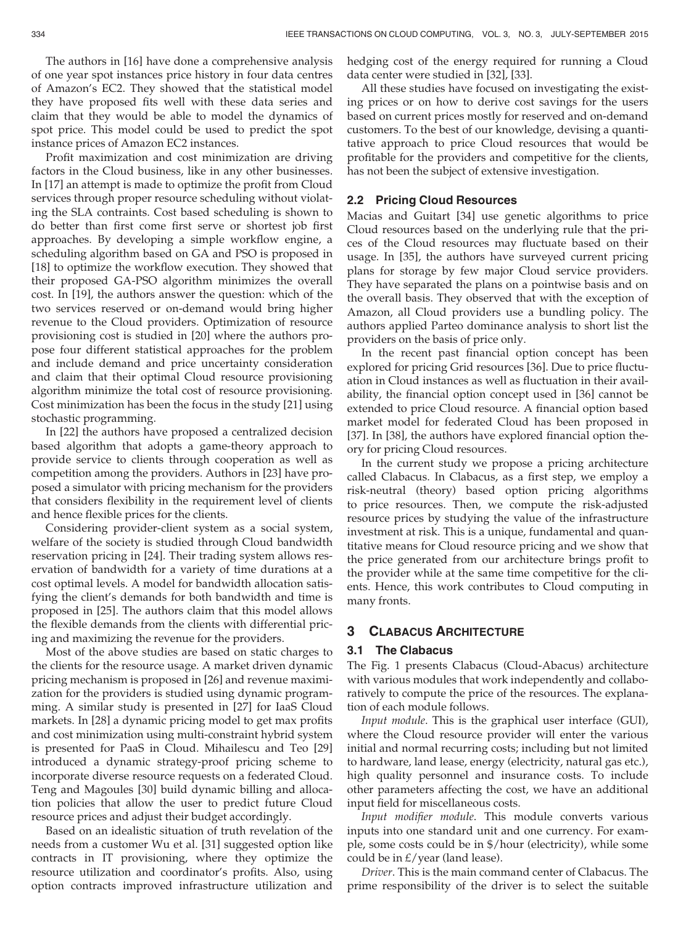The authors in [16] have done a comprehensive analysis of one year spot instances price history in four data centres of Amazon's EC2. They showed that the statistical model they have proposed fits well with these data series and claim that they would be able to model the dynamics of spot price. This model could be used to predict the spot instance prices of Amazon EC2 instances.

Profit maximization and cost minimization are driving factors in the Cloud business, like in any other businesses. In [17] an attempt is made to optimize the profit from Cloud services through proper resource scheduling without violating the SLA contraints. Cost based scheduling is shown to do better than first come first serve or shortest job first approaches. By developing a simple workflow engine, a scheduling algorithm based on GA and PSO is proposed in [18] to optimize the workflow execution. They showed that their proposed GA-PSO algorithm minimizes the overall cost. In [19], the authors answer the question: which of the two services reserved or on-demand would bring higher revenue to the Cloud providers. Optimization of resource provisioning cost is studied in [20] where the authors propose four different statistical approaches for the problem and include demand and price uncertainty consideration and claim that their optimal Cloud resource provisioning algorithm minimize the total cost of resource provisioning. Cost minimization has been the focus in the study [21] using stochastic programming.

In [22] the authors have proposed a centralized decision based algorithm that adopts a game-theory approach to provide service to clients through cooperation as well as competition among the providers. Authors in [23] have proposed a simulator with pricing mechanism for the providers that considers flexibility in the requirement level of clients and hence flexible prices for the clients.

Considering provider-client system as a social system, welfare of the society is studied through Cloud bandwidth reservation pricing in [24]. Their trading system allows reservation of bandwidth for a variety of time durations at a cost optimal levels. A model for bandwidth allocation satisfying the client's demands for both bandwidth and time is proposed in [25]. The authors claim that this model allows the flexible demands from the clients with differential pricing and maximizing the revenue for the providers.

Most of the above studies are based on static charges to the clients for the resource usage. A market driven dynamic pricing mechanism is proposed in [26] and revenue maximization for the providers is studied using dynamic programming. A similar study is presented in [27] for IaaS Cloud markets. In [28] a dynamic pricing model to get max profits and cost minimization using multi-constraint hybrid system is presented for PaaS in Cloud. Mihailescu and Teo [29] introduced a dynamic strategy-proof pricing scheme to incorporate diverse resource requests on a federated Cloud. Teng and Magoules [30] build dynamic billing and allocation policies that allow the user to predict future Cloud resource prices and adjust their budget accordingly.

Based on an idealistic situation of truth revelation of the needs from a customer Wu et al. [31] suggested option like contracts in IT provisioning, where they optimize the resource utilization and coordinator's profits. Also, using option contracts improved infrastructure utilization and hedging cost of the energy required for running a Cloud data center were studied in [32], [33].

All these studies have focused on investigating the existing prices or on how to derive cost savings for the users based on current prices mostly for reserved and on-demand customers. To the best of our knowledge, devising a quantitative approach to price Cloud resources that would be profitable for the providers and competitive for the clients, has not been the subject of extensive investigation.

#### 2.2 Pricing Cloud Resources

Macias and Guitart [34] use genetic algorithms to price Cloud resources based on the underlying rule that the prices of the Cloud resources may fluctuate based on their usage. In [35], the authors have surveyed current pricing plans for storage by few major Cloud service providers. They have separated the plans on a pointwise basis and on the overall basis. They observed that with the exception of Amazon, all Cloud providers use a bundling policy. The authors applied Parteo dominance analysis to short list the providers on the basis of price only.

In the recent past financial option concept has been explored for pricing Grid resources [36]. Due to price fluctuation in Cloud instances as well as fluctuation in their availability, the financial option concept used in [36] cannot be extended to price Cloud resource. A financial option based market model for federated Cloud has been proposed in [37]. In [38], the authors have explored financial option theory for pricing Cloud resources.

In the current study we propose a pricing architecture called Clabacus. In Clabacus, as a first step, we employ a risk-neutral (theory) based option pricing algorithms to price resources. Then, we compute the risk-adjusted resource prices by studying the value of the infrastructure investment at risk. This is a unique, fundamental and quantitative means for Cloud resource pricing and we show that the price generated from our architecture brings profit to the provider while at the same time competitive for the clients. Hence, this work contributes to Cloud computing in many fronts.

# 3 CLABACUS ARCHITECTURE

#### 3.1 The Clabacus

The Fig. 1 presents Clabacus (Cloud-Abacus) architecture with various modules that work independently and collaboratively to compute the price of the resources. The explanation of each module follows.

Input module. This is the graphical user interface (GUI), where the Cloud resource provider will enter the various initial and normal recurring costs; including but not limited to hardware, land lease, energy (electricity, natural gas etc.), high quality personnel and insurance costs. To include other parameters affecting the cost, we have an additional input field for miscellaneous costs.

Input modifier module. This module converts various inputs into one standard unit and one currency. For example, some costs could be in \$/hour (electricity), while some could be in  $E$ /year (land lease).

Driver. This is the main command center of Clabacus. The prime responsibility of the driver is to select the suitable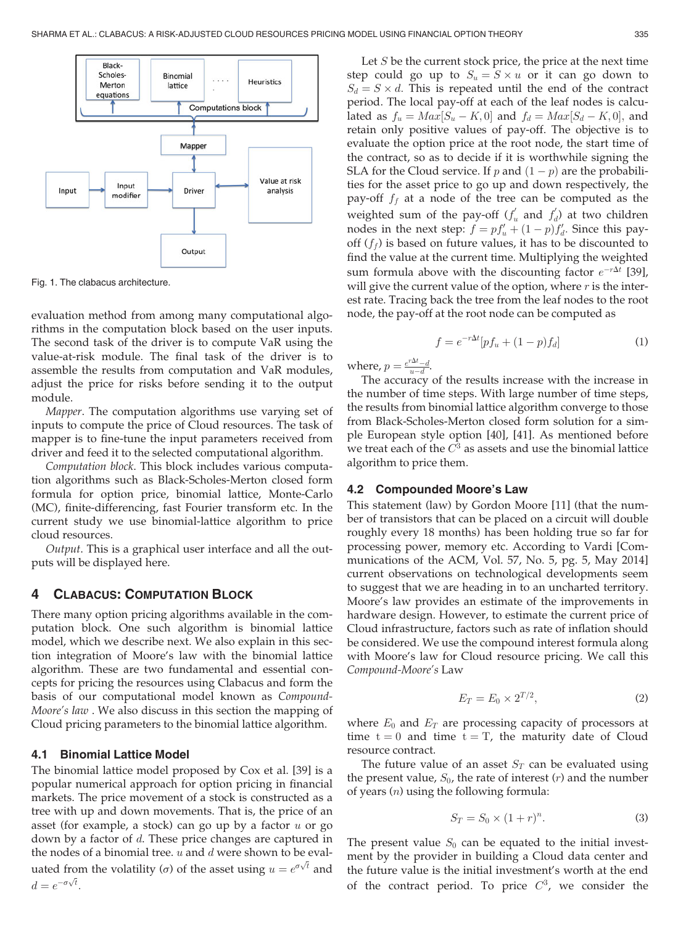

Fig. 1. The clabacus architecture.

evaluation method from among many computational algorithms in the computation block based on the user inputs. The second task of the driver is to compute VaR using the value-at-risk module. The final task of the driver is to assemble the results from computation and VaR modules, adjust the price for risks before sending it to the output module.

Mapper. The computation algorithms use varying set of inputs to compute the price of Cloud resources. The task of mapper is to fine-tune the input parameters received from driver and feed it to the selected computational algorithm.

Computation block. This block includes various computation algorithms such as Black-Scholes-Merton closed form formula for option price, binomial lattice, Monte-Carlo (MC), finite-differencing, fast Fourier transform etc. In the current study we use binomial-lattice algorithm to price cloud resources.

Output. This is a graphical user interface and all the outputs will be displayed here.

# 4 CLABACUS: COMPUTATION BLOCK

There many option pricing algorithms available in the computation block. One such algorithm is binomial lattice model, which we describe next. We also explain in this section integration of Moore's law with the binomial lattice algorithm. These are two fundamental and essential concepts for pricing the resources using Clabacus and form the basis of our computational model known as Compound-Moore's law . We also discuss in this section the mapping of Cloud pricing parameters to the binomial lattice algorithm.

#### 4.1 Binomial Lattice Model

The binomial lattice model proposed by Cox et al. [39] is a popular numerical approach for option pricing in financial markets. The price movement of a stock is constructed as a tree with up and down movements. That is, the price of an asset (for example, a stock) can go up by a factor  $u$  or go down by a factor of d. These price changes are captured in the nodes of a binomial tree.  $u$  and  $d$  were shown to be evaluated from the volatility ( $\sigma$ ) of the asset using  $u = e^{\sigma \sqrt{t}}$  and  $d = e^{-\sigma\sqrt{t}}.$ 

Let  $S$  be the current stock price, the price at the next time step could go up to  $S_u = S \times u$  or it can go down to  $S_d = S \times d$ . This is repeated until the end of the contract period. The local pay-off at each of the leaf nodes is calculated as  $f_u = Max[S_u - K, 0]$  and  $f_d = Max[S_d - K, 0]$ , and retain only positive values of pay-off. The objective is to evaluate the option price at the root node, the start time of the contract, so as to decide if it is worthwhile signing the SLA for the Cloud service. If p and  $(1 - p)$  are the probabilities for the asset price to go up and down respectively, the pay-off  $f_f$  at a node of the tree can be computed as the weighted sum of the pay-off  $(f_u$  and  $f_d$ ) at two children nodes in the next step:  $f = pf'_u + (1 - p)f'_d$ . Since this pay-<br>off (f) is based on future values it has to be discounted to off  $(f_f)$  is based on future values, it has to be discounted to find the value at the current time. Multiplying the weighted sum formula above with the discounting factor  $e^{-r\Delta t}$  [39], will give the current value of the option, where  $r$  is the interest rate. Tracing back the tree from the leaf nodes to the root node, the pay-off at the root node can be computed as

$$
f = e^{-r\Delta t} [p f_u + (1 - p) f_d]
$$
 (1)

where,  $p = \frac{e^{r\Delta t} - d}{u - d}$ .<br>The accuracy

The accuracy of the results increase with the increase in the number of time steps. With large number of time steps, the results from binomial lattice algorithm converge to those from Black-Scholes-Merton closed form solution for a simple European style option [40], [41]. As mentioned before we treat each of the  $C^3$  as assets and use the binomial lattice algorithm to price them.

#### 4.2 Compounded Moore's Law

This statement (law) by Gordon Moore [11] (that the number of transistors that can be placed on a circuit will double roughly every 18 months) has been holding true so far for processing power, memory etc. According to Vardi [Communications of the ACM, Vol. 57, No. 5, pg. 5, May 2014] current observations on technological developments seem to suggest that we are heading in to an uncharted territory. Moore's law provides an estimate of the improvements in hardware design. However, to estimate the current price of Cloud infrastructure, factors such as rate of inflation should be considered. We use the compound interest formula along with Moore's law for Cloud resource pricing. We call this Compound-Moore's Law

$$
E_T = E_0 \times 2^{T/2},\tag{2}
$$

where  $E_0$  and  $E_T$  are processing capacity of processors at time  $t = 0$  and time  $t = T$ , the maturity date of Cloud resource contract.

The future value of an asset  $S_T$  can be evaluated using the present value,  $S_0$ , the rate of interest  $(r)$  and the number of years  $(n)$  using the following formula:

$$
S_T = S_0 \times (1+r)^n. \tag{3}
$$

The present value  $S_0$  can be equated to the initial investment by the provider in building a Cloud data center and the future value is the initial investment's worth at the end of the contract period. To price  $C^3$ , we consider the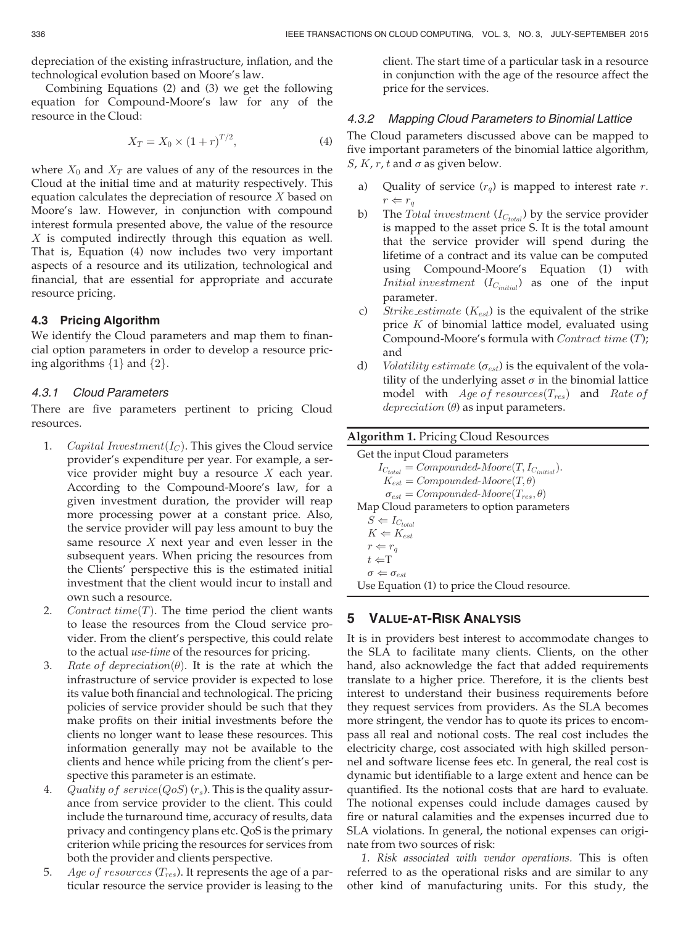depreciation of the existing infrastructure, inflation, and the technological evolution based on Moore's law.

Combining Equations (2) and (3) we get the following equation for Compound-Moore's law for any of the resource in the Cloud:

$$
X_T = X_0 \times (1+r)^{T/2},
$$
 (4)

where  $X_0$  and  $X_T$  are values of any of the resources in the Cloud at the initial time and at maturity respectively. This equation calculates the depreciation of resource X based on Moore's law. However, in conjunction with compound interest formula presented above, the value of the resource  $X$  is computed indirectly through this equation as well. That is, Equation (4) now includes two very important aspects of a resource and its utilization, technological and financial, that are essential for appropriate and accurate resource pricing.

# 4.3 Pricing Algorithm

We identify the Cloud parameters and map them to financial option parameters in order to develop a resource pricing algorithms  $\{1\}$  and  $\{2\}$ .

# 4.3.1 Cloud Parameters

There are five parameters pertinent to pricing Cloud resources.

- 1. Capital Investment( $I_C$ ). This gives the Cloud service provider's expenditure per year. For example, a service provider might buy a resource  $X$  each year. According to the Compound-Moore's law, for a given investment duration, the provider will reap more processing power at a constant price. Also, the service provider will pay less amount to buy the same resource  $X$  next year and even lesser in the subsequent years. When pricing the resources from the Clients' perspective this is the estimated initial investment that the client would incur to install and own such a resource.
- 2. *Contract time* $(T)$ . The time period the client wants to lease the resources from the Cloud service provider. From the client's perspective, this could relate to the actual use-time of the resources for pricing.
- 3. Rate of depreciation( $\theta$ ). It is the rate at which the infrastructure of service provider is expected to lose its value both financial and technological. The pricing policies of service provider should be such that they make profits on their initial investments before the clients no longer want to lease these resources. This information generally may not be available to the clients and hence while pricing from the client's perspective this parameter is an estimate.
- 4. Quality of service( $QoS$ )  $(r_s)$ . This is the quality assurance from service provider to the client. This could include the turnaround time, accuracy of results, data privacy and contingency plans etc. QoS is the primary criterion while pricing the resources for services from both the provider and clients perspective.
- 5. Age of resources  $(T_{res})$ . It represents the age of a particular resource the service provider is leasing to the

client. The start time of a particular task in a resource in conjunction with the age of the resource affect the price for the services.

#### 4.3.2 Mapping Cloud Parameters to Binomial Lattice

The Cloud parameters discussed above can be mapped to five important parameters of the binomial lattice algorithm, S,  $K$ ,  $r$ ,  $t$  and  $\sigma$  as given below.

- a) Quality of service  $(r_q)$  is mapped to interest rate r.  $r \leftarrow r_q$
- b) The Total investment  $(I_{C_{total}})$  by the service provider is mapped to the asset price S. It is the total amount that the service provider will spend during the lifetime of a contract and its value can be computed using Compound-Moore's Equation (1) with *Initial investment*  $(I_{C<sub>initial</sub>})$  as one of the input parameter.
- c) Strike estimate  $(K_{est})$  is the equivalent of the strike price  $K$  of binomial lattice model, evaluated using Compound-Moore's formula with Contract time (T); and
- d) Volatility estimate ( $\sigma_{est}$ ) is the equivalent of the volatility of the underlying asset  $\sigma$  in the binomial lattice model with Age of  $resources(T_{res})$  and Rate of  $deprecision$  ( $\theta$ ) as input parameters.

# Algorithm 1. Pricing Cloud Resources Get the input Cloud parameters

 $I_{C_{total}} = Compounded\text{-}Moore(T, I_{C_{initial}}).$  $K_{est} = Compounded-Moore(T, \theta)$  $\sigma_{est} = Compounded-Moore(T_{res}, \theta)$ Map Cloud parameters to option parameters  $S \Leftarrow I_{C_{total}}$  $K \Leftarrow K_{est}$  $r \Leftarrow r_q$  $t \leftarrow T$  $\sigma \Leftarrow \sigma_{est}$ 

Use Equation (1) to price the Cloud resource.

# 5 VALUE-AT-RISK ANALYSIS

It is in providers best interest to accommodate changes to the SLA to facilitate many clients. Clients, on the other hand, also acknowledge the fact that added requirements translate to a higher price. Therefore, it is the clients best interest to understand their business requirements before they request services from providers. As the SLA becomes more stringent, the vendor has to quote its prices to encompass all real and notional costs. The real cost includes the electricity charge, cost associated with high skilled personnel and software license fees etc. In general, the real cost is dynamic but identifiable to a large extent and hence can be quantified. Its the notional costs that are hard to evaluate. The notional expenses could include damages caused by fire or natural calamities and the expenses incurred due to SLA violations. In general, the notional expenses can originate from two sources of risk:

1. Risk associated with vendor operations. This is often referred to as the operational risks and are similar to any other kind of manufacturing units. For this study, the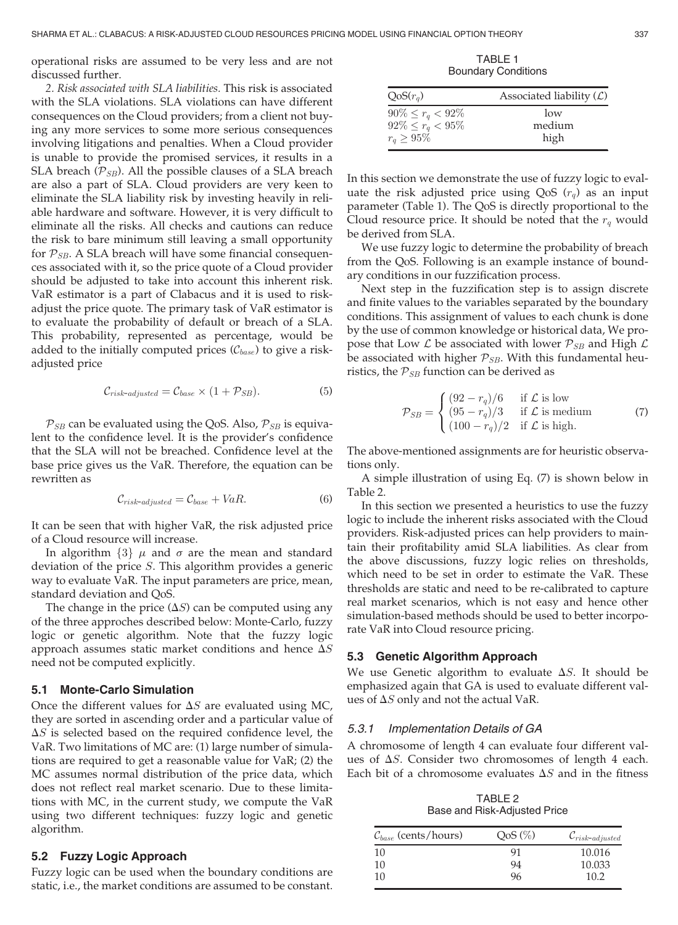operational risks are assumed to be very less and are not discussed further.

2. Risk associated with SLA liabilities. This risk is associated with the SLA violations. SLA violations can have different consequences on the Cloud providers; from a client not buying any more services to some more serious consequences involving litigations and penalties. When a Cloud provider is unable to provide the promised services, it results in a SLA breach  $(\mathcal{P}_{SB})$ . All the possible clauses of a SLA breach are also a part of SLA. Cloud providers are very keen to eliminate the SLA liability risk by investing heavily in reliable hardware and software. However, it is very difficult to eliminate all the risks. All checks and cautions can reduce the risk to bare minimum still leaving a small opportunity for  $P_{SB}$ . A SLA breach will have some financial consequences associated with it, so the price quote of a Cloud provider should be adjusted to take into account this inherent risk. VaR estimator is a part of Clabacus and it is used to riskadjust the price quote. The primary task of VaR estimator is to evaluate the probability of default or breach of a SLA. This probability, represented as percentage, would be added to the initially computed prices  $(\mathcal{C}_{base})$  to give a riskadjusted price

$$
C_{risk\text{-}adjusted} = C_{base} \times (1 + \mathcal{P}_{SB}). \tag{5}
$$

 $P_{SB}$  can be evaluated using the QoS. Also,  $P_{SB}$  is equivalent to the confidence level. It is the provider's confidence that the SLA will not be breached. Confidence level at the base price gives us the VaR. Therefore, the equation can be rewritten as

$$
\mathcal{C}_{risk\text{-}adjusted} = \mathcal{C}_{base} + VaR. \tag{6}
$$

It can be seen that with higher VaR, the risk adjusted price of a Cloud resource will increase.

In algorithm  $\{3\}$   $\mu$  and  $\sigma$  are the mean and standard deviation of the price S. This algorithm provides a generic way to evaluate VaR. The input parameters are price, mean, standard deviation and QoS.

The change in the price  $(\Delta S)$  can be computed using any of the three approches described below: Monte-Carlo, fuzzy logic or genetic algorithm. Note that the fuzzy logic approach assumes static market conditions and hence  $\Delta S$ need not be computed explicitly.

#### 5.1 Monte-Carlo Simulation

Once the different values for  $\Delta S$  are evaluated using MC, they are sorted in ascending order and a particular value of  $\Delta S$  is selected based on the required confidence level, the VaR. Two limitations of MC are: (1) large number of simulations are required to get a reasonable value for VaR; (2) the MC assumes normal distribution of the price data, which does not reflect real market scenario. Due to these limitations with MC, in the current study, we compute the VaR using two different techniques: fuzzy logic and genetic algorithm.

#### 5.2 Fuzzy Logic Approach

Fuzzy logic can be used when the boundary conditions are static, i.e., the market conditions are assumed to be constant.

TABLE 1 Boundary Conditions

| $QoS(r_a)$                                                          | Associated liability $(\mathcal{L})$ |
|---------------------------------------------------------------------|--------------------------------------|
| $90\% \leq r_q < 92\%$<br>$92\% \leq r_q < 95\%$<br>$r_q \geq 95\%$ | low<br>medium<br>high                |

In this section we demonstrate the use of fuzzy logic to evaluate the risk adjusted price using QoS  $(r_q)$  as an input parameter (Table 1). The QoS is directly proportional to the Cloud resource price. It should be noted that the  $r_q$  would be derived from SLA.

We use fuzzy logic to determine the probability of breach from the QoS. Following is an example instance of boundary conditions in our fuzzification process.

Next step in the fuzzification step is to assign discrete and finite values to the variables separated by the boundary conditions. This assignment of values to each chunk is done by the use of common knowledge or historical data, We propose that Low  $\mathcal L$  be associated with lower  $\mathcal P_{SB}$  and High  $\mathcal L$ be associated with higher  $P_{SB}$ . With this fundamental heuristics, the  $P_{SB}$  function can be derived as

$$
\mathcal{P}_{SB} = \begin{cases}\n(92 - r_q)/6 & \text{if } \mathcal{L} \text{ is low} \\
(95 - r_q)/3 & \text{if } \mathcal{L} \text{ is medium} \\
(100 - r_q)/2 & \text{if } \mathcal{L} \text{ is high.}\n\end{cases}
$$
\n(7)

The above-mentioned assignments are for heuristic observations only.

A simple illustration of using Eq. (7) is shown below in Table 2.

In this section we presented a heuristics to use the fuzzy logic to include the inherent risks associated with the Cloud providers. Risk-adjusted prices can help providers to maintain their profitability amid SLA liabilities. As clear from the above discussions, fuzzy logic relies on thresholds, which need to be set in order to estimate the VaR. These thresholds are static and need to be re-calibrated to capture real market scenarios, which is not easy and hence other simulation-based methods should be used to better incorporate VaR into Cloud resource pricing.

# 5.3 Genetic Algorithm Approach

We use Genetic algorithm to evaluate  $\Delta S$ . It should be emphasized again that GA is used to evaluate different values of  $\Delta S$  only and not the actual VaR.

#### 5.3.1 Implementation Details of GA

A chromosome of length 4 can evaluate four different values of  $\Delta S$ . Consider two chromosomes of length 4 each. Each bit of a chromosome evaluates  $\Delta S$  and in the fitness

TABLE 2 Base and Risk-Adjusted Price

| $\mathcal{C}_{base}$ (cents/hours) | $\cos(\%)$ | $\mathcal{C}_{risk\text{-}adjusted}$ |
|------------------------------------|------------|--------------------------------------|
| 10                                 | 91         | 10.016                               |
| 10                                 | 94         | 10.033                               |
| 10                                 | 96         | 10.2                                 |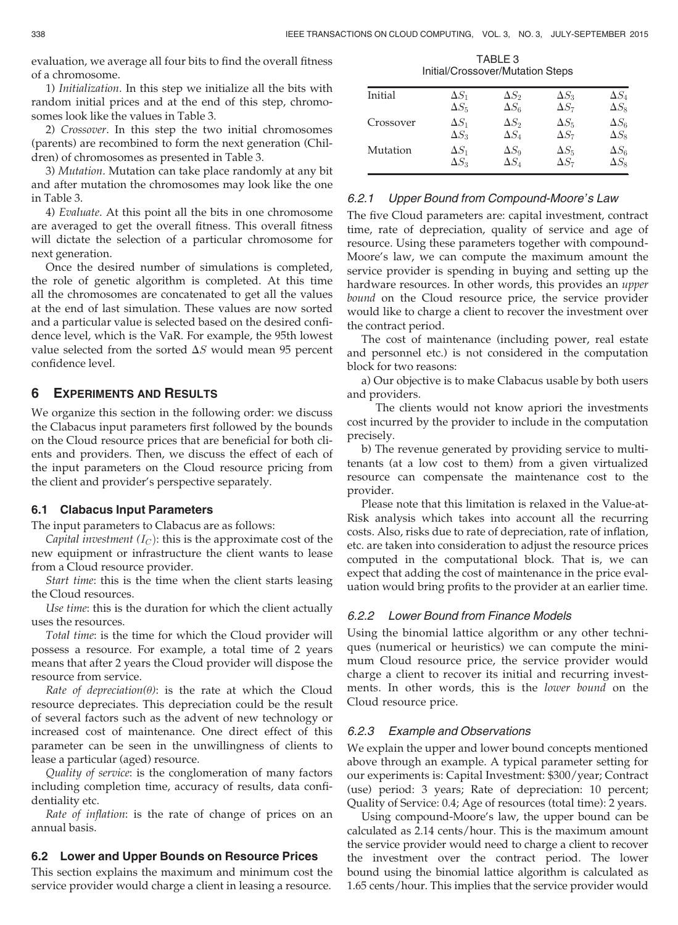evaluation, we average all four bits to find the overall fitness of a chromosome.

1) Initialization. In this step we initialize all the bits with random initial prices and at the end of this step, chromosomes look like the values in Table 3.

2) Crossover. In this step the two initial chromosomes (parents) are recombined to form the next generation (Children) of chromosomes as presented in Table 3.

3) Mutation. Mutation can take place randomly at any bit and after mutation the chromosomes may look like the one in Table 3.

4) Evaluate. At this point all the bits in one chromosome are averaged to get the overall fitness. This overall fitness will dictate the selection of a particular chromosome for next generation.

Once the desired number of simulations is completed, the role of genetic algorithm is completed. At this time all the chromosomes are concatenated to get all the values at the end of last simulation. These values are now sorted and a particular value is selected based on the desired confidence level, which is the VaR. For example, the 95th lowest value selected from the sorted  $\Delta S$  would mean 95 percent confidence level.

# 6 EXPERIMENTS AND RESULTS

We organize this section in the following order: we discuss the Clabacus input parameters first followed by the bounds on the Cloud resource prices that are beneficial for both clients and providers. Then, we discuss the effect of each of the input parameters on the Cloud resource pricing from the client and provider's perspective separately.

# 6.1 Clabacus Input Parameters

The input parameters to Clabacus are as follows:

Capital investment  $(I_C)$ : this is the approximate cost of the new equipment or infrastructure the client wants to lease from a Cloud resource provider.

Start time: this is the time when the client starts leasing the Cloud resources.

Use time: this is the duration for which the client actually uses the resources.

Total time: is the time for which the Cloud provider will possess a resource. For example, a total time of 2 years means that after 2 years the Cloud provider will dispose the resource from service.

Rate of depreciation( $\theta$ ): is the rate at which the Cloud resource depreciates. This depreciation could be the result of several factors such as the advent of new technology or increased cost of maintenance. One direct effect of this parameter can be seen in the unwillingness of clients to lease a particular (aged) resource.

Quality of service: is the conglomeration of many factors including completion time, accuracy of results, data confidentiality etc.

Rate of inflation: is the rate of change of prices on an annual basis.

# 6.2 Lower and Upper Bounds on Resource Prices

This section explains the maximum and minimum cost the service provider would charge a client in leasing a resource.

TABLE 3 Initial/Crossover/Mutation Steps

| Initial   | $\Delta S_1$ | $\Delta S_2$       | $\Delta S_3$   | $\Delta S_4$ |
|-----------|--------------|--------------------|----------------|--------------|
|           | $\Delta S_5$ | $\Delta S_6$       | $\Delta S_7$   | $\Delta S_8$ |
| Crossover | $\Delta S_1$ | $\Delta S_2$       | $\Delta S_5$   | $\Delta S_6$ |
|           | $\Delta S_3$ | $\Delta S_4$       | $\Delta S_7$   | $\Delta S_8$ |
| Mutation  | $\Delta S_1$ | $\Delta S_{\rm o}$ | $\Delta S_{5}$ | $\Delta S_6$ |
|           | $\Delta S_3$ | $\Delta S_4$       | $\Delta S_7$   | $\Delta S_8$ |

# 6.2.1 Upper Bound from Compound-Moore's Law

The five Cloud parameters are: capital investment, contract time, rate of depreciation, quality of service and age of resource. Using these parameters together with compound-Moore's law, we can compute the maximum amount the service provider is spending in buying and setting up the hardware resources. In other words, this provides an upper bound on the Cloud resource price, the service provider would like to charge a client to recover the investment over the contract period.

The cost of maintenance (including power, real estate and personnel etc.) is not considered in the computation block for two reasons:

a) Our objective is to make Clabacus usable by both users and providers.

The clients would not know apriori the investments cost incurred by the provider to include in the computation precisely.

b) The revenue generated by providing service to multitenants (at a low cost to them) from a given virtualized resource can compensate the maintenance cost to the provider.

Please note that this limitation is relaxed in the Value-at-Risk analysis which takes into account all the recurring costs. Also, risks due to rate of depreciation, rate of inflation, etc. are taken into consideration to adjust the resource prices computed in the computational block. That is, we can expect that adding the cost of maintenance in the price evaluation would bring profits to the provider at an earlier time.

# 6.2.2 Lower Bound from Finance Models

Using the binomial lattice algorithm or any other techniques (numerical or heuristics) we can compute the minimum Cloud resource price, the service provider would charge a client to recover its initial and recurring investments. In other words, this is the lower bound on the Cloud resource price.

#### 6.2.3 Example and Observations

We explain the upper and lower bound concepts mentioned above through an example. A typical parameter setting for our experiments is: Capital Investment: \$300/year; Contract (use) period: 3 years; Rate of depreciation: 10 percent; Quality of Service: 0.4; Age of resources (total time): 2 years.

Using compound-Moore's law, the upper bound can be calculated as 2.14 cents/hour. This is the maximum amount the service provider would need to charge a client to recover the investment over the contract period. The lower bound using the binomial lattice algorithm is calculated as 1.65 cents/hour. This implies that the service provider would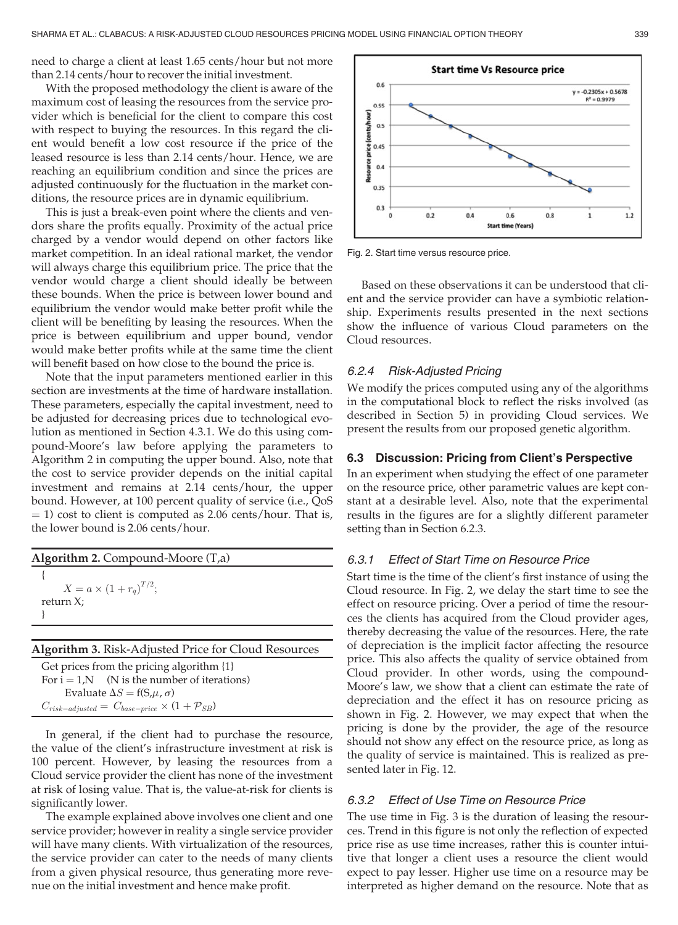need to charge a client at least 1.65 cents/hour but not more than 2.14 cents/hour to recover the initial investment.

With the proposed methodology the client is aware of the maximum cost of leasing the resources from the service provider which is beneficial for the client to compare this cost with respect to buying the resources. In this regard the client would benefit a low cost resource if the price of the leased resource is less than 2.14 cents/hour. Hence, we are reaching an equilibrium condition and since the prices are adjusted continuously for the fluctuation in the market conditions, the resource prices are in dynamic equilibrium.

This is just a break-even point where the clients and vendors share the profits equally. Proximity of the actual price charged by a vendor would depend on other factors like market competition. In an ideal rational market, the vendor will always charge this equilibrium price. The price that the vendor would charge a client should ideally be between these bounds. When the price is between lower bound and equilibrium the vendor would make better profit while the client will be benefiting by leasing the resources. When the price is between equilibrium and upper bound, vendor would make better profits while at the same time the client will benefit based on how close to the bound the price is.

Note that the input parameters mentioned earlier in this section are investments at the time of hardware installation. These parameters, especially the capital investment, need to be adjusted for decreasing prices due to technological evolution as mentioned in Section 4.3.1. We do this using compound-Moore's law before applying the parameters to Algorithm 2 in computing the upper bound. Also, note that the cost to service provider depends on the initial capital investment and remains at 2.14 cents/hour, the upper bound. However, at 100 percent quality of service (i.e., QoS  $=$  1) cost to client is computed as 2.06 cents/hour. That is, the lower bound is 2.06 cents/hour.

| <b>Algorithm 2.</b> Compound-Moore $(T,a)$                  |
|-------------------------------------------------------------|
| $X = a \times (1 + r_a)^{T/2};$<br>return $X$ ;             |
|                                                             |
| <b>Algorithm 3.</b> Risk-Adjusted Price for Cloud Resources |

| Get prices from the pricing algorithm {1}                          |
|--------------------------------------------------------------------|
| For $i = 1$ , N (N is the number of iterations)                    |
| Evaluate $\Delta S = f(S, \mu, \sigma)$                            |
| $C_{risk-adjusted} = C_{base-price} \times (1 + \mathcal{P}_{SB})$ |
|                                                                    |

In general, if the client had to purchase the resource, the value of the client's infrastructure investment at risk is 100 percent. However, by leasing the resources from a Cloud service provider the client has none of the investment at risk of losing value. That is, the value-at-risk for clients is significantly lower.

The example explained above involves one client and one service provider; however in reality a single service provider will have many clients. With virtualization of the resources, the service provider can cater to the needs of many clients from a given physical resource, thus generating more revenue on the initial investment and hence make profit.



Fig. 2. Start time versus resource price.

Based on these observations it can be understood that client and the service provider can have a symbiotic relationship. Experiments results presented in the next sections show the influence of various Cloud parameters on the Cloud resources.

#### 6.2.4 Risk-Adjusted Pricing

We modify the prices computed using any of the algorithms in the computational block to reflect the risks involved (as described in Section 5) in providing Cloud services. We present the results from our proposed genetic algorithm.

#### 6.3 Discussion: Pricing from Client's Perspective

In an experiment when studying the effect of one parameter on the resource price, other parametric values are kept constant at a desirable level. Also, note that the experimental results in the figures are for a slightly different parameter setting than in Section 6.2.3.

#### 6.3.1 Effect of Start Time on Resource Price

Start time is the time of the client's first instance of using the Cloud resource. In Fig. 2, we delay the start time to see the effect on resource pricing. Over a period of time the resources the clients has acquired from the Cloud provider ages, thereby decreasing the value of the resources. Here, the rate of depreciation is the implicit factor affecting the resource price. This also affects the quality of service obtained from Cloud provider. In other words, using the compound-Moore's law, we show that a client can estimate the rate of depreciation and the effect it has on resource pricing as shown in Fig. 2. However, we may expect that when the pricing is done by the provider, the age of the resource should not show any effect on the resource price, as long as the quality of service is maintained. This is realized as presented later in Fig. 12.

# 6.3.2 Effect of Use Time on Resource Price

The use time in Fig. 3 is the duration of leasing the resources. Trend in this figure is not only the reflection of expected price rise as use time increases, rather this is counter intuitive that longer a client uses a resource the client would expect to pay lesser. Higher use time on a resource may be interpreted as higher demand on the resource. Note that as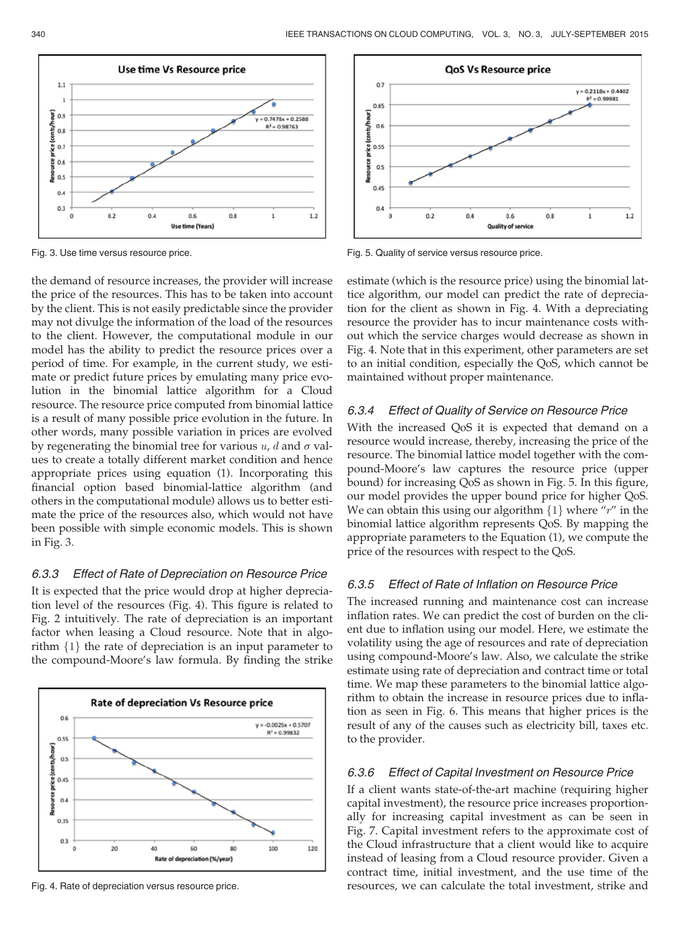

Fig. 3. Use time versus resource price.

the demand of resource increases, the provider will increase the price of the resources. This has to be taken into account by the client. This is not easily predictable since the provider may not divulge the information of the load of the resources to the client. However, the computational module in our model has the ability to predict the resource prices over a period of time. For example, in the current study, we estimate or predict future prices by emulating many price evolution in the binomial lattice algorithm for a Cloud resource. The resource price computed from binomial lattice is a result of many possible price evolution in the future. In other words, many possible variation in prices are evolved by regenerating the binomial tree for various  $u$ ,  $d$  and  $\sigma$  values to create a totally different market condition and hence appropriate prices using equation (1). Incorporating this financial option based binomial-lattice algorithm (and others in the computational module) allows us to better estimate the price of the resources also, which would not have been possible with simple economic models. This is shown in Fig. 3.

# 6.3.3 Effect of Rate of Depreciation on Resource Price

It is expected that the price would drop at higher depreciation level of the resources (Fig. 4). This figure is related to Fig. 2 intuitively. The rate of depreciation is an important factor when leasing a Cloud resource. Note that in algorithm  $\{1\}$  the rate of depreciation is an input parameter to the compound-Moore's law formula. By finding the strike



Fig. 4. Rate of depreciation versus resource price.



Fig. 5. Quality of service versus resource price.

estimate (which is the resource price) using the binomial lattice algorithm, our model can predict the rate of depreciation for the client as shown in Fig. 4. With a depreciating resource the provider has to incur maintenance costs without which the service charges would decrease as shown in Fig. 4. Note that in this experiment, other parameters are set to an initial condition, especially the QoS, which cannot be maintained without proper maintenance.

# 6.3.4 Effect of Quality of Service on Resource Price

With the increased QoS it is expected that demand on a resource would increase, thereby, increasing the price of the resource. The binomial lattice model together with the compound-Moore's law captures the resource price (upper bound) for increasing QoS as shown in Fig. 5. In this figure, our model provides the upper bound price for higher QoS. We can obtain this using our algorithm  $\{1\}$  where "r" in the binomial lattice algorithm represents QoS. By mapping the appropriate parameters to the Equation (1), we compute the price of the resources with respect to the QoS.

# 6.3.5 Effect of Rate of Inflation on Resource Price

The increased running and maintenance cost can increase inflation rates. We can predict the cost of burden on the client due to inflation using our model. Here, we estimate the volatility using the age of resources and rate of depreciation using compound-Moore's law. Also, we calculate the strike estimate using rate of depreciation and contract time or total time. We map these parameters to the binomial lattice algorithm to obtain the increase in resource prices due to inflation as seen in Fig. 6. This means that higher prices is the result of any of the causes such as electricity bill, taxes etc. to the provider.

#### 6.3.6 Effect of Capital Investment on Resource Price

If a client wants state-of-the-art machine (requiring higher capital investment), the resource price increases proportionally for increasing capital investment as can be seen in Fig. 7. Capital investment refers to the approximate cost of the Cloud infrastructure that a client would like to acquire instead of leasing from a Cloud resource provider. Given a contract time, initial investment, and the use time of the resources, we can calculate the total investment, strike and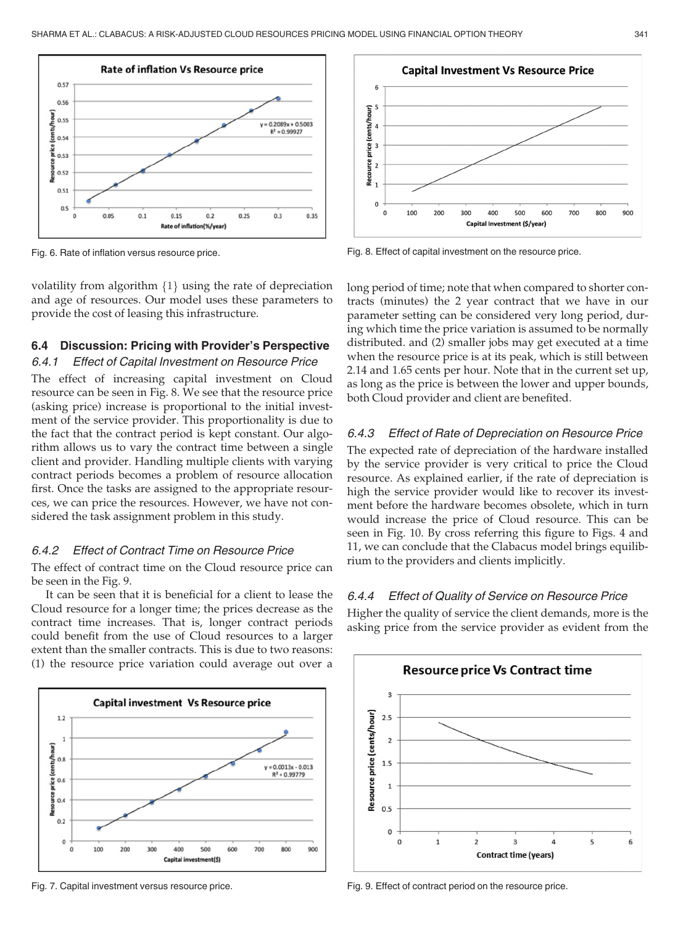

Fig. 6. Rate of inflation versus resource price.

volatility from algorithm  $\{1\}$  using the rate of depreciation and age of resources. Our model uses these parameters to provide the cost of leasing this infrastructure.

#### 6.4 Discussion: Pricing with Provider's Perspective

#### 6.4.1 Effect of Capital Investment on Resource Price

The effect of increasing capital investment on Cloud resource can be seen in Fig. 8. We see that the resource price (asking price) increase is proportional to the initial investment of the service provider. This proportionality is due to the fact that the contract period is kept constant. Our algorithm allows us to vary the contract time between a single client and provider. Handling multiple clients with varying contract periods becomes a problem of resource allocation first. Once the tasks are assigned to the appropriate resources, we can price the resources. However, we have not considered the task assignment problem in this study.

#### 6.4.2 Effect of Contract Time on Resource Price

The effect of contract time on the Cloud resource price can be seen in the Fig. 9.

It can be seen that it is beneficial for a client to lease the Cloud resource for a longer time; the prices decrease as the contract time increases. That is, longer contract periods could benefit from the use of Cloud resources to a larger extent than the smaller contracts. This is due to two reasons: (1) the resource price variation could average out over a



Fig. 7. Capital investment versus resource price.



Fig. 8. Effect of capital investment on the resource price.

long period of time; note that when compared to shorter contracts (minutes) the 2 year contract that we have in our parameter setting can be considered very long period, during which time the price variation is assumed to be normally distributed. and (2) smaller jobs may get executed at a time when the resource price is at its peak, which is still between 2.14 and 1.65 cents per hour. Note that in the current set up, as long as the price is between the lower and upper bounds, both Cloud provider and client are benefited.

#### 6.4.3 Effect of Rate of Depreciation on Resource Price

The expected rate of depreciation of the hardware installed by the service provider is very critical to price the Cloud resource. As explained earlier, if the rate of depreciation is high the service provider would like to recover its investment before the hardware becomes obsolete, which in turn would increase the price of Cloud resource. This can be seen in Fig. 10. By cross referring this figure to Figs. 4 and 11, we can conclude that the Clabacus model brings equilibrium to the providers and clients implicitly.

#### 6.4.4 Effect of Quality of Service on Resource Price

Higher the quality of service the client demands, more is the asking price from the service provider as evident from the



Fig. 9. Effect of contract period on the resource price.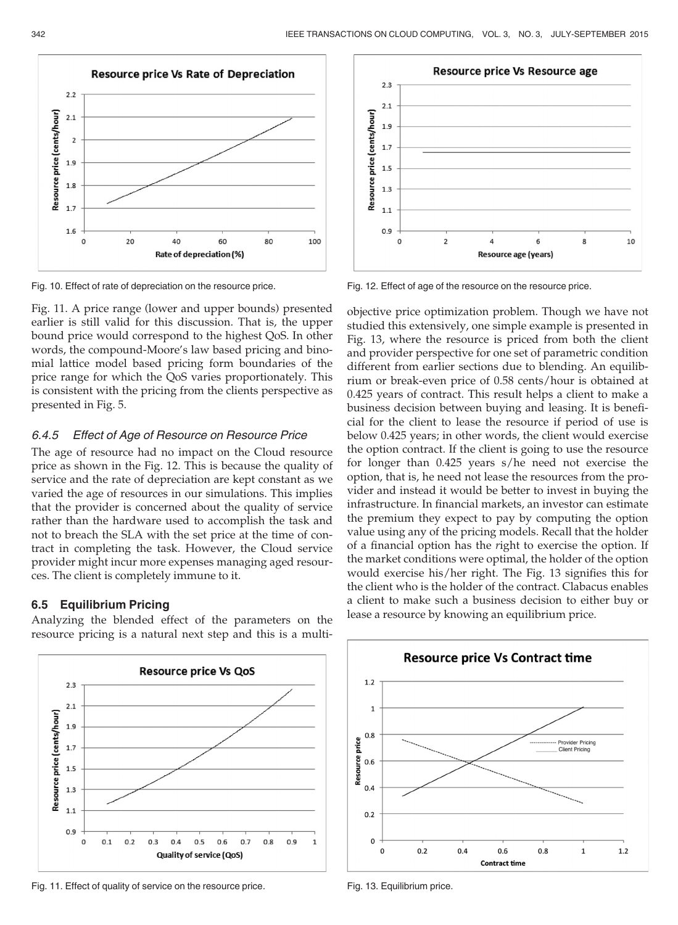

Fig. 10. Effect of rate of depreciation on the resource price.

Fig. 11. A price range (lower and upper bounds) presented earlier is still valid for this discussion. That is, the upper bound price would correspond to the highest QoS. In other words, the compound-Moore's law based pricing and binomial lattice model based pricing form boundaries of the price range for which the QoS varies proportionately. This is consistent with the pricing from the clients perspective as presented in Fig. 5.

#### 6.4.5 Effect of Age of Resource on Resource Price

The age of resource had no impact on the Cloud resource price as shown in the Fig. 12. This is because the quality of service and the rate of depreciation are kept constant as we varied the age of resources in our simulations. This implies that the provider is concerned about the quality of service rather than the hardware used to accomplish the task and not to breach the SLA with the set price at the time of contract in completing the task. However, the Cloud service provider might incur more expenses managing aged resources. The client is completely immune to it.

#### 6.5 Equilibrium Pricing

Analyzing the blended effect of the parameters on the resource pricing is a natural next step and this is a multi-



Fig. 11. Effect of quality of service on the resource price.



Fig. 12. Effect of age of the resource on the resource price.

objective price optimization problem. Though we have not studied this extensively, one simple example is presented in Fig. 13, where the resource is priced from both the client and provider perspective for one set of parametric condition different from earlier sections due to blending. An equilibrium or break-even price of 0.58 cents/hour is obtained at 0.425 years of contract. This result helps a client to make a business decision between buying and leasing. It is beneficial for the client to lease the resource if period of use is below 0.425 years; in other words, the client would exercise the option contract. If the client is going to use the resource for longer than 0.425 years s/he need not exercise the option, that is, he need not lease the resources from the provider and instead it would be better to invest in buying the infrastructure. In financial markets, an investor can estimate the premium they expect to pay by computing the option value using any of the pricing models. Recall that the holder of a financial option has the right to exercise the option. If the market conditions were optimal, the holder of the option would exercise his/her right. The Fig. 13 signifies this for the client who is the holder of the contract. Clabacus enables a client to make such a business decision to either buy or lease a resource by knowing an equilibrium price.



Fig. 13. Equilibrium price.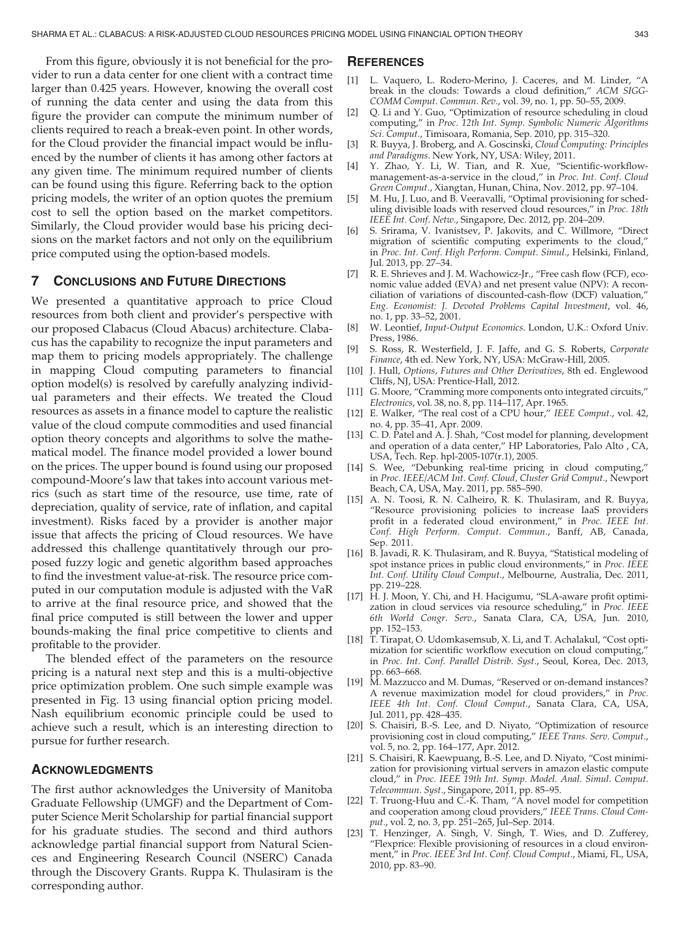From this figure, obviously it is not beneficial for the provider to run a data center for one client with a contract time larger than 0.425 years. However, knowing the overall cost of running the data center and using the data from this figure the provider can compute the minimum number of clients required to reach a break-even point. In other words, for the Cloud provider the financial impact would be influenced by the number of clients it has among other factors at any given time. The minimum required number of clients can be found using this figure. Referring back to the option pricing models, the writer of an option quotes the premium cost to sell the option based on the market competitors. Similarly, the Cloud provider would base his pricing decisions on the market factors and not only on the equilibrium price computed using the option-based models.

# 7 CONCLUSIONS AND FUTURE DIRECTIONS

We presented a quantitative approach to price Cloud resources from both client and provider's perspective with our proposed Clabacus (Cloud Abacus) architecture. Clabacus has the capability to recognize the input parameters and map them to pricing models appropriately. The challenge in mapping Cloud computing parameters to financial option model(s) is resolved by carefully analyzing individual parameters and their effects. We treated the Cloud resources as assets in a finance model to capture the realistic value of the cloud compute commodities and used financial option theory concepts and algorithms to solve the mathematical model. The finance model provided a lower bound on the prices. The upper bound is found using our proposed compound-Moore's law that takes into account various metrics (such as start time of the resource, use time, rate of depreciation, quality of service, rate of inflation, and capital investment). Risks faced by a provider is another major issue that affects the pricing of Cloud resources. We have addressed this challenge quantitatively through our proposed fuzzy logic and genetic algorithm based approaches to find the investment value-at-risk. The resource price computed in our computation module is adjusted with the VaR to arrive at the final resource price, and showed that the final price computed is still between the lower and upper bounds-making the final price competitive to clients and profitable to the provider.

The blended effect of the parameters on the resource pricing is a natural next step and this is a multi-objective price optimization problem. One such simple example was presented in Fig. 13 using financial option pricing model. Nash equilibrium economic principle could be used to achieve such a result, which is an interesting direction to pursue for further research.

# ACKNOWLEDGMENTS

The first author acknowledges the University of Manitoba Graduate Fellowship (UMGF) and the Department of Computer Science Merit Scholarship for partial financial support for his graduate studies. The second and third authors acknowledge partial financial support from Natural Sciences and Engineering Research Council (NSERC) Canada through the Discovery Grants. Ruppa K. Thulasiram is the corresponding author.

# **REFERENCES**

- [1] L. Vaquero, L. Rodero-Merino, J. Caceres, and M. Linder, "A break in the clouds: Towards a cloud definition," ACM SIGG-COMM Comput. Commun. Rev., vol. 39, no. 1, pp. 50–55, 2009.
- [2] Q. Li and Y. Guo, "Optimization of resource scheduling in cloud computing," in Proc. 12th Int. Symp. Symbolic Numeric Algorithms Sci. Comput., Timisoara, Romania, Sep. 2010, pp. 315–320.
- R. Buyya, J. Broberg, and A. Goscinski, Cloud Computing: Principles and Paradigms. New York, NY, USA: Wiley, 2011.
- [4] Y. Zhao, Y. Li, W. Tian, and R. Xue, "Scientific-workflowmanagement-as-a-service in the cloud," in Proc. Int. Conf. Cloud Green Comput., Xiangtan, Hunan, China, Nov. 2012, pp. 97–104.
- [5] M. Hu, J. Luo, and B. Veeravalli, "Optimal provisioning for scheduling divisible loads with reserved cloud resources," in Proc. 18th IEEE Int. Conf. Netw., Singapore, Dec. 2012, pp. 204–209.
- [6] S. Srirama, V. Ivanistsev, P. Jakovits, and C. Willmore, "Direct migration of scientific computing experiments to the cloud," in Proc. Int. Conf. High Perform. Comput. Simul., Helsinki, Finland, Jul. 2013, pp. 27–34.
- [7] R. E. Shrieves and J. M. Wachowicz-Jr., "Free cash flow (FCF), economic value added (EVA) and net present value (NPV): A reconciliation of variations of discounted-cash-flow (DCF) valuation," Eng. Economist: J. Devoted Problems Capital Investment, vol. 46, no. 1, pp. 33–52, 2001.
- [8] W. Leontief, Input-Output Economics. London, U.K.: Oxford Univ. Press, 1986.
- [9] S. Ross, R. Westerfield, J. F. Jaffe, and G. S. Roberts, Corporate Finance, 4th ed. New York, NY, USA: McGraw-Hill, 2005.
- [10] J. Hull, Options, Futures and Other Derivatives, 8th ed. Englewood Cliffs, NJ, USA: Prentice-Hall, 2012.
- [11] G. Moore, "Cramming more components onto integrated circuits," Electronics, vol. 38, no. 8, pp. 114–117, Apr. 1965.
- [12] E. Walker, "The real cost of a CPU hour," IEEE Comput., vol. 42, no. 4, pp. 35–41, Apr. 2009.
- [13] C. D. Patel and A. J. Shah, "Cost model for planning, development and operation of a data center," HP Laboratories, Palo Alto , CA, USA, Tech. Rep. hpl-2005-107(r.1), 2005.
- [14] S. Wee, "Debunking real-time pricing in cloud computing," in Proc. IEEE/ACM Int. Conf. Cloud, Cluster Grid Comput., Newport Beach, CA, USA, May. 2011, pp. 585–590.
- [15] A. N. Toosi, R. N. Calheiro, R. K. Thulasiram, and R. Buyya, "Resource provisioning policies to increase IaaS providers profit in a federated cloud environment," in Proc. IEEE Int. Conf. High Perform. Comput. Commun., Banff, AB, Canada, Sep. 2011.
- [16] B. Javadi, R. K. Thulasiram, and R. Buyya, "Statistical modeling of spot instance prices in public cloud environments," in Proc. IEEE Int. Conf. Utility Cloud Comput., Melbourne, Australia, Dec. 2011, pp. 219–228.
- [17] H. J. Moon, Y. Chi, and H. Hacigumu, "SLA-aware profit optimization in cloud services via resource scheduling," in Proc. IEEE 6th World Congr. Serv., Sanata Clara, CA, USA, Jun. 2010, pp. 152–153.
- [18] T. Tirapat, O. Udomkasemsub, X. Li, and T. Achalakul, "Cost optimization for scientific workflow execution on cloud computing," in Proc. Int. Conf. Parallel Distrib. Syst., Seoul, Korea, Dec. 2013, pp. 663–668.
- [19] M. Mazzucco and M. Dumas, "Reserved or on-demand instances? A revenue maximization model for cloud providers," in Proc. IEEE 4th Int. Conf. Cloud Comput., Sanata Clara, CA, USA, Jul. 2011, pp. 428–435.
- [20] S. Chaisiri, B.-S. Lee, and D. Niyato, "Optimization of resource provisioning cost in cloud computing," IEEE Trans. Serv. Comput., vol. 5, no. 2, pp. 164–177, Apr. 2012.
- [21] S. Chaisiri, R. Kaewpuang, B.-S. Lee, and D. Niyato, "Cost minimization for provisioning virtual servers in amazon elastic compute cloud," in Proc. IEEE 19th Int. Symp. Model. Anal. Simul. Comput. Telecommun. Syst., Singapore, 2011, pp. 85–95.
- [22] T. Truong-Huu and C.-K. Tham, "A novel model for competition and cooperation among cloud providers," IEEE Trans. Cloud Comput., vol. 2, no. 3, pp. 251–265, Jul–Sep. 2014.
- [23] T. Henzinger, A. Singh, V. Singh, T. Wies, and D. Zufferey, "Flexprice: Flexible provisioning of resources in a cloud environment," in Proc. IEEE 3rd Int. Conf. Cloud Comput., Miami, FL, USA, 2010, pp. 83–90.